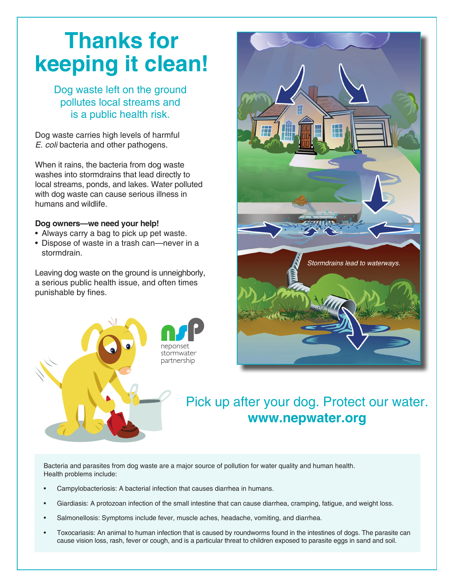## **Thanks for keeping it clean!**

Dog waste left on the ground pollutes local streams and is a public health risk.

Dog waste carries high levels of harmful E. coli bacteria and other pathogens.

When it rains, the bacteria from dog waste washes into stormdrains that lead directly to local streams, ponds, and lakes. Water polluted with dog waste can cause serious illness in humans and wildlife.

## **Dog owners—we need your help!**

- Always carry a bag to pick up pet waste.
- Dispose of waste in a trash can—never in a stormdrain.

Leaving dog waste on the ground is unneighborly, a serious public health issue, and often times punishable by fines.





## Pick up after your dog. Protect our water. **www.nepwater.org**

Bacteria and parasites from dog waste are a major source of pollution for water quality and human health. Health problems include:

- Campylobacteriosis: A bacterial infection that causes diarrhea in humans.
- Giardiasis: A protozoan infection of the small intestine that can cause diarrhea, cramping, fatigue, and weight loss.
- Salmonellosis: Symptoms include fever, muscle aches, headache, vomiting, and diarrhea.
- Toxocariasis: An animal to human infection that is caused by roundworms found in the intestines of dogs. The parasite can cause vision loss, rash, fever or cough, and is a particular threat to children exposed to parasite eggs in sand and soil.